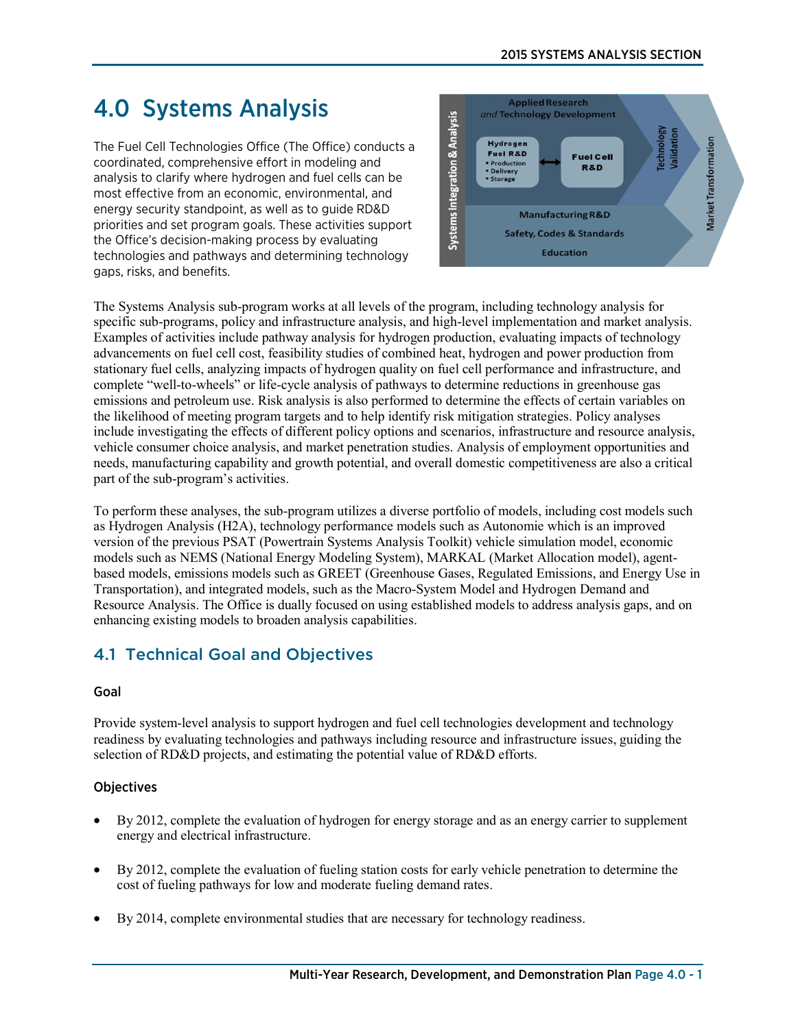#### 2015 SYSTEMS ANALYSIS SECTION

# 4.0 Systems Analysis

The Fuel Cell Technologies Office (The Office) conducts a coordinated, comprehensive effort in modeling and analysis to clarify where hydrogen and fuel cells can be most effective from an economic, environmental, and energy security standpoint, as well as to guide RD&D priorities and set program goals. These activities support the Office's decision-making process by evaluating technologies and pathways and determining technology gaps, risks, and benefits.



The Systems Analysis sub-program works at all levels of the program, including technology analysis for specific sub-programs, policy and infrastructure analysis, and high-level implementation and market analysis. Examples of activities include pathway analysis for hydrogen production, evaluating impacts of technology advancements on fuel cell cost, feasibility studies of combined heat, hydrogen and power production from stationary fuel cells, analyzing impacts of hydrogen quality on fuel cell performance and infrastructure, and complete "well-to-wheels" or life-cycle analysis of pathways to determine reductions in greenhouse gas emissions and petroleum use. Risk analysis is also performed to determine the effects of certain variables on the likelihood of meeting program targets and to help identify risk mitigation strategies. Policy analyses include investigating the effects of different policy options and scenarios, infrastructure and resource analysis, vehicle consumer choice analysis, and market penetration studies. Analysis of employment opportunities and needs, manufacturing capability and growth potential, and overall domestic competitiveness are also a critical part of the sub-program's activities.

To perform these analyses, the sub-program utilizes a diverse portfolio of models, including cost models such as Hydrogen Analysis (H2A), technology performance models such as Autonomie which is an improved version of the previous PSAT (Powertrain Systems Analysis Toolkit) vehicle simulation model, economic models such as NEMS (National Energy Modeling System), MARKAL (Market Allocation model), agentbased models, emissions models such as GREET (Greenhouse Gases, Regulated Emissions, and Energy Use in Transportation), and integrated models, such as the Macro-System Model and Hydrogen Demand and Resource Analysis. The Office is dually focused on using established models to address analysis gaps, and on enhancing existing models to broaden analysis capabilities.

# 4.1 Technical Goal and Objectives

#### Goal

Provide system-level analysis to support hydrogen and fuel cell technologies development and technology readiness by evaluating technologies and pathways including resource and infrastructure issues, guiding the selection of RD&D projects, and estimating the potential value of RD&D efforts.

### **Objectives**

- By 2012, complete the evaluation of hydrogen for energy storage and as an energy carrier to supplement energy and electrical infrastructure.
- By 2012, complete the evaluation of fueling station costs for early vehicle penetration to determine the cost of fueling pathways for low and moderate fueling demand rates.
- By 2014, complete environmental studies that are necessary for technology readiness.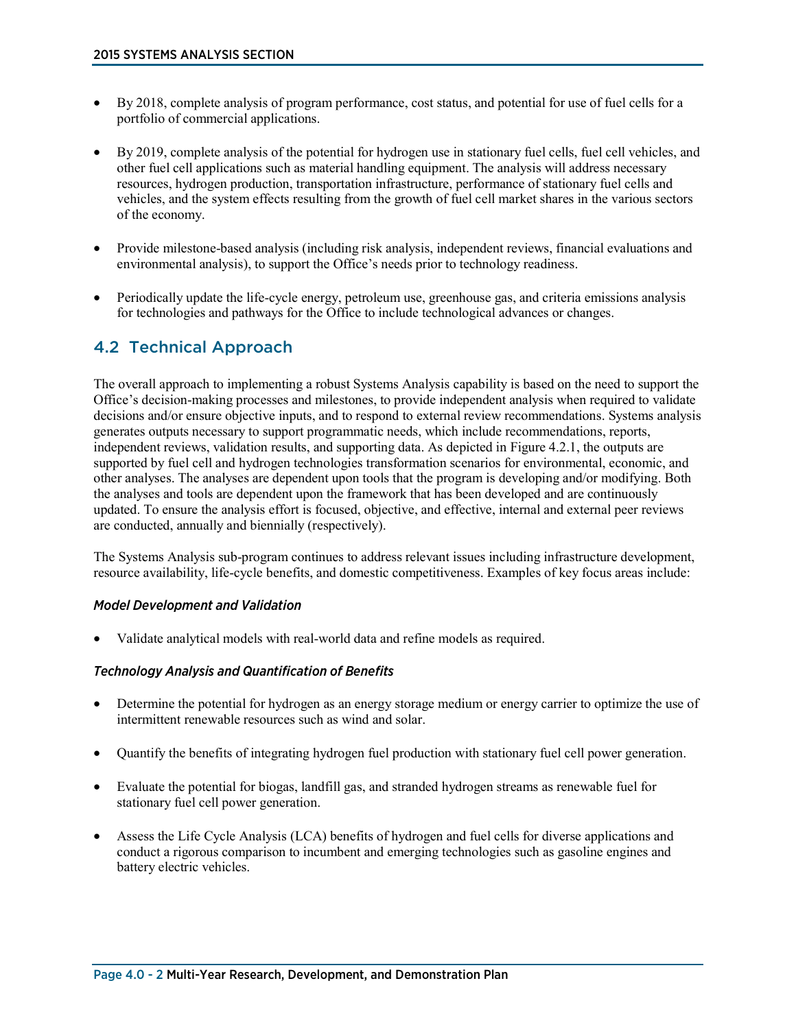- By 2018, complete analysis of program performance, cost status, and potential for use of fuel cells for a portfolio of commercial applications.
- By 2019, complete analysis of the potential for hydrogen use in stationary fuel cells, fuel cell vehicles, and other fuel cell applications such as material handling equipment. The analysis will address necessary resources, hydrogen production, transportation infrastructure, performance of stationary fuel cells and vehicles, and the system effects resulting from the growth of fuel cell market shares in the various sectors of the economy.
- Provide milestone-based analysis (including risk analysis, independent reviews, financial evaluations and environmental analysis), to support the Office's needs prior to technology readiness.
- Periodically update the life-cycle energy, petroleum use, greenhouse gas, and criteria emissions analysis for technologies and pathways for the Office to include technological advances or changes.

## 4.2 Technical Approach

The overall approach to implementing a robust Systems Analysis capability is based on the need to support the Office's decision-making processes and milestones, to provide independent analysis when required to validate decisions and/or ensure objective inputs, and to respond to external review recommendations. Systems analysis generates outputs necessary to support programmatic needs, which include recommendations, reports, independent reviews, validation results, and supporting data. As depicted in Figure 4.2.1, the outputs are supported by fuel cell and hydrogen technologies transformation scenarios for environmental, economic, and other analyses. The analyses are dependent upon tools that the program is developing and/or modifying. Both the analyses and tools are dependent upon the framework that has been developed and are continuously updated. To ensure the analysis effort is focused, objective, and effective, internal and external peer reviews are conducted, annually and biennially (respectively).

The Systems Analysis sub-program continues to address relevant issues including infrastructure development, resource availability, life-cycle benefits, and domestic competitiveness. Examples of key focus areas include:

#### *Model Development and Validation*

• Validate analytical models with real-world data and refine models as required.

#### *Technology Analysis and Quantification of Benefits*

- Determine the potential for hydrogen as an energy storage medium or energy carrier to optimize the use of intermittent renewable resources such as wind and solar.
- Quantify the benefits of integrating hydrogen fuel production with stationary fuel cell power generation.
- Evaluate the potential for biogas, landfill gas, and stranded hydrogen streams as renewable fuel for stationary fuel cell power generation.
- Assess the Life Cycle Analysis (LCA) benefits of hydrogen and fuel cells for diverse applications and conduct a rigorous comparison to incumbent and emerging technologies such as gasoline engines and battery electric vehicles.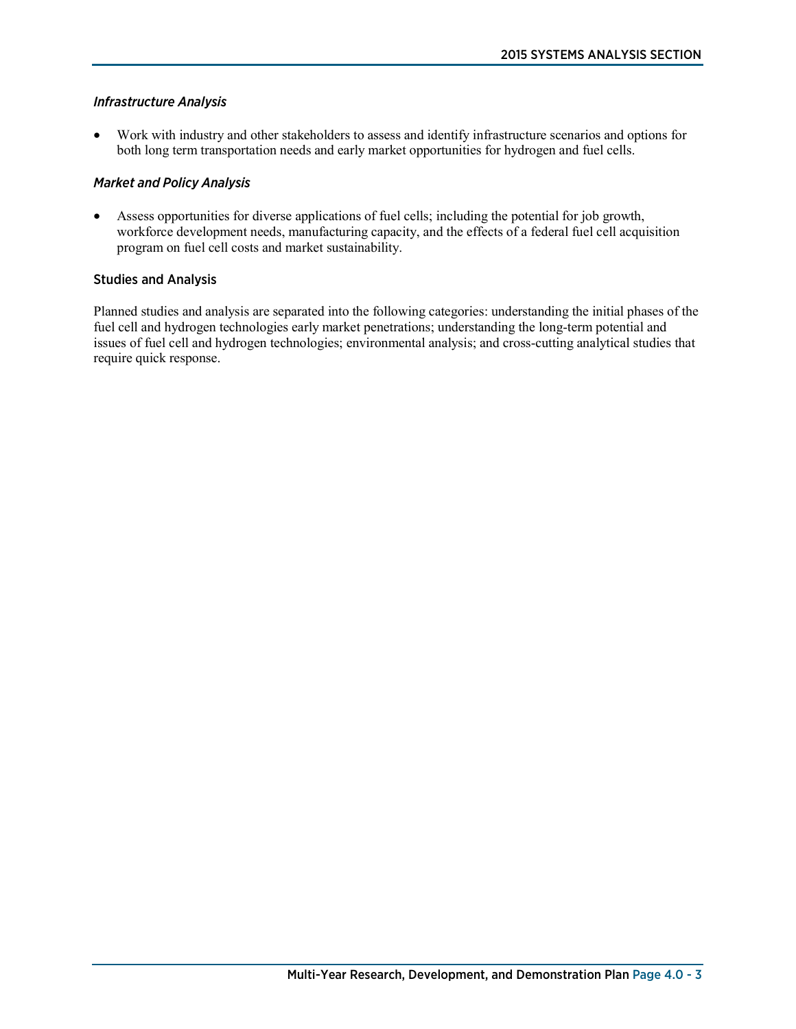#### *Infrastructure Analysis*

• Work with industry and other stakeholders to assess and identify infrastructure scenarios and options for both long term transportation needs and early market opportunities for hydrogen and fuel cells.

#### *Market and Policy Analysis*

• Assess opportunities for diverse applications of fuel cells; including the potential for job growth, workforce development needs, manufacturing capacity, and the effects of a federal fuel cell acquisition program on fuel cell costs and market sustainability.

#### Studies and Analysis

Planned studies and analysis are separated into the following categories: understanding the initial phases of the fuel cell and hydrogen technologies early market penetrations; understanding the long-term potential and issues of fuel cell and hydrogen technologies; environmental analysis; and cross-cutting analytical studies that require quick response.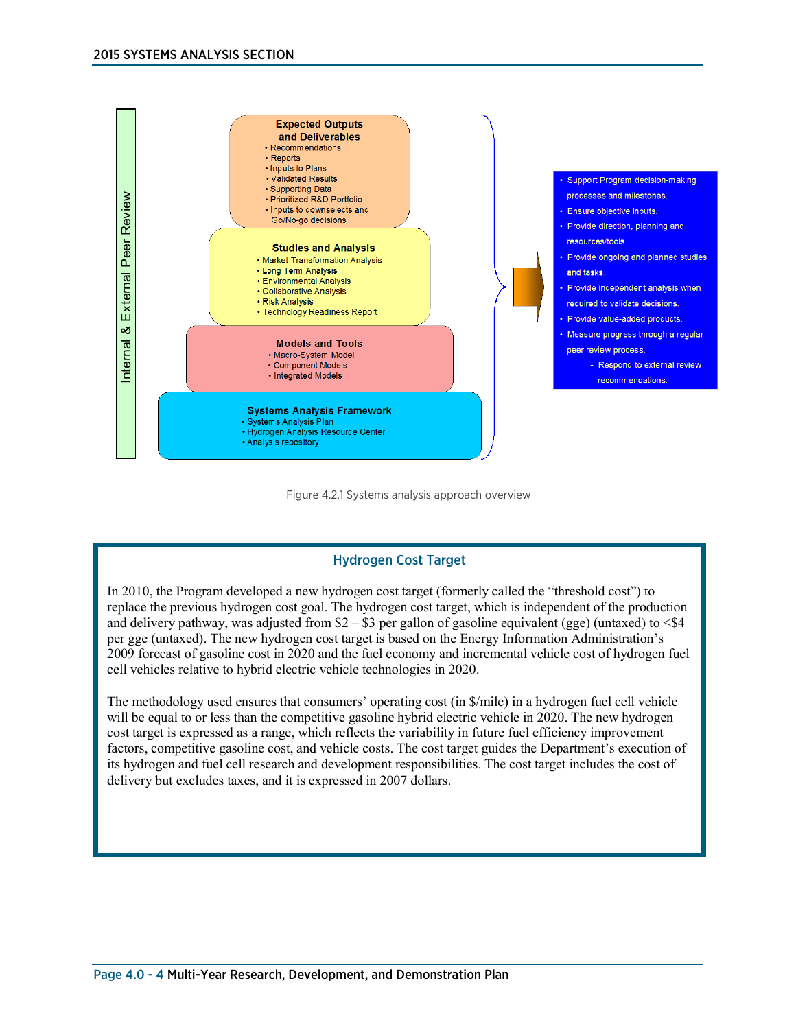

#### Figure 4.2.1 Systems analysis approach overview

#### Hydrogen Cost Target

In 2010, the Program developed a new hydrogen cost target (formerly called the "threshold cost") to replace the previous hydrogen cost goal. The hydrogen cost target, which is independent of the production and delivery pathway, was adjusted from  $$2 - $3$  per gallon of gasoline equivalent (gge) (untaxed) to <\$4 per gge (untaxed). The new hydrogen cost target is based on the Energy Information Administration's 2009 forecast of gasoline cost in 2020 and the fuel economy and incremental vehicle cost of hydrogen fuel cell vehicles relative to hybrid electric vehicle technologies in 2020.

The methodology used ensures that consumers' operating cost (in \$/mile) in a hydrogen fuel cell vehicle will be equal to or less than the competitive gasoline hybrid electric vehicle in 2020. The new hydrogen cost target is expressed as a range, which reflects the variability in future fuel efficiency improvement factors, competitive gasoline cost, and vehicle costs. The cost target guides the Department's execution of its hydrogen and fuel cell research and development responsibilities. The cost target includes the cost of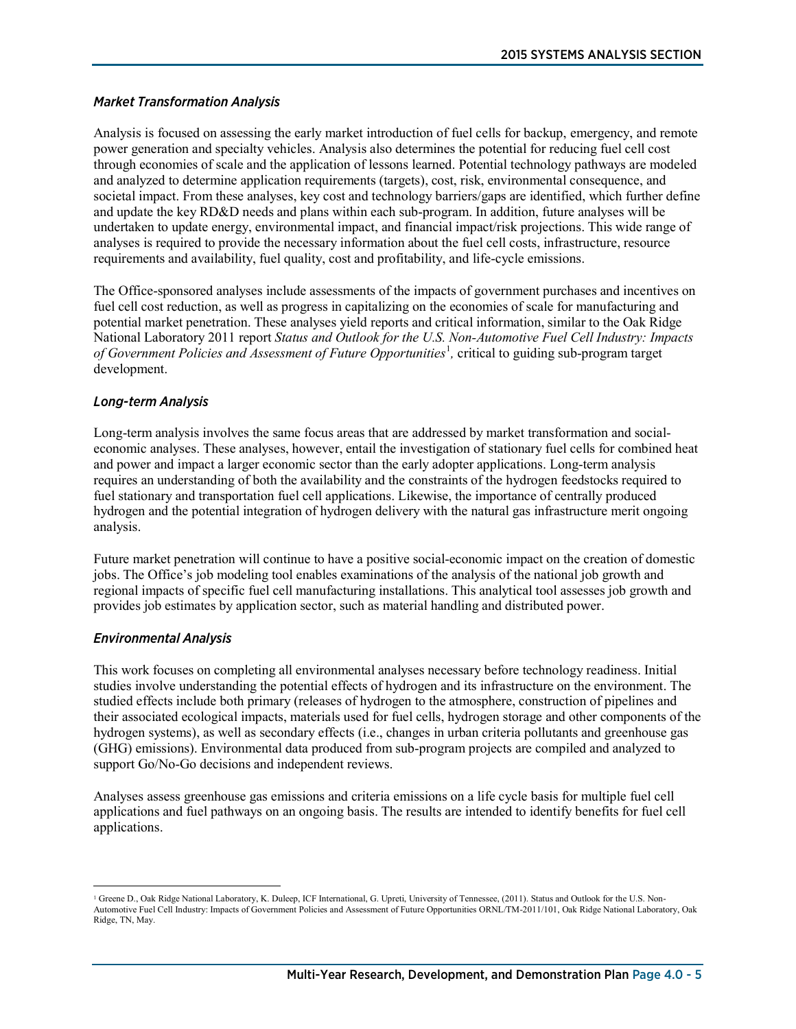#### *Market Transformation Analysis*

Analysis is focused on assessing the early market introduction of fuel cells for backup, emergency, and remote power generation and specialty vehicles. Analysis also determines the potential for reducing fuel cell cost through economies of scale and the application of lessons learned. Potential technology pathways are modeled and analyzed to determine application requirements (targets), cost, risk, environmental consequence, and societal impact. From these analyses, key cost and technology barriers/gaps are identified, which further define and update the key RD&D needs and plans within each sub-program. In addition, future analyses will be undertaken to update energy, environmental impact, and financial impact/risk projections. This wide range of analyses is required to provide the necessary information about the fuel cell costs, infrastructure, resource requirements and availability, fuel quality, cost and profitability, and life-cycle emissions.

The Office-sponsored analyses include assessments of the impacts of government purchases and incentives on fuel cell cost reduction, as well as progress in capitalizing on the economies of scale for manufacturing and potential market penetration. These analyses yield reports and critical information, similar to the Oak Ridge National Laboratory 2011 report *Status and Outlook for the U.S. Non-Automotive Fuel Cell Industry: Impacts*  of Government Policies and Assessment of Future Opportunities<sup>[1](#page-4-0)</sup>, critical to guiding sub-program target development.

#### *Long-term Analysis*

Long-term analysis involves the same focus areas that are addressed by market transformation and socialeconomic analyses. These analyses, however, entail the investigation of stationary fuel cells for combined heat and power and impact a larger economic sector than the early adopter applications. Long-term analysis requires an understanding of both the availability and the constraints of the hydrogen feedstocks required to fuel stationary and transportation fuel cell applications. Likewise, the importance of centrally produced hydrogen and the potential integration of hydrogen delivery with the natural gas infrastructure merit ongoing analysis.

Future market penetration will continue to have a positive social-economic impact on the creation of domestic jobs. The Office's job modeling tool enables examinations of the analysis of the national job growth and regional impacts of specific fuel cell manufacturing installations. This analytical tool assesses job growth and provides job estimates by application sector, such as material handling and distributed power.

#### *Environmental Analysis*

This work focuses on completing all environmental analyses necessary before technology readiness. Initial studies involve understanding the potential effects of hydrogen and its infrastructure on the environment. The studied effects include both primary (releases of hydrogen to the atmosphere, construction of pipelines and their associated ecological impacts, materials used for fuel cells, hydrogen storage and other components of the hydrogen systems), as well as secondary effects (i.e., changes in urban criteria pollutants and greenhouse gas (GHG) emissions). Environmental data produced from sub-program projects are compiled and analyzed to support Go/No-Go decisions and independent reviews.

Analyses assess greenhouse gas emissions and criteria emissions on a life cycle basis for multiple fuel cell applications and fuel pathways on an ongoing basis. The results are intended to identify benefits for fuel cell applications.

<span id="page-4-0"></span> $\overline{a}$ <sup>1</sup> Greene D., Oak Ridge National Laboratory, K. Duleep, ICF International, G. Upreti, University of Tennessee, (2011). Status and Outlook for the U.S. Non-Automotive Fuel Cell Industry: Impacts of Government Policies and Assessment of Future Opportunities ORNL/TM-2011/101, Oak Ridge National Laboratory, Oak Ridge, TN, May.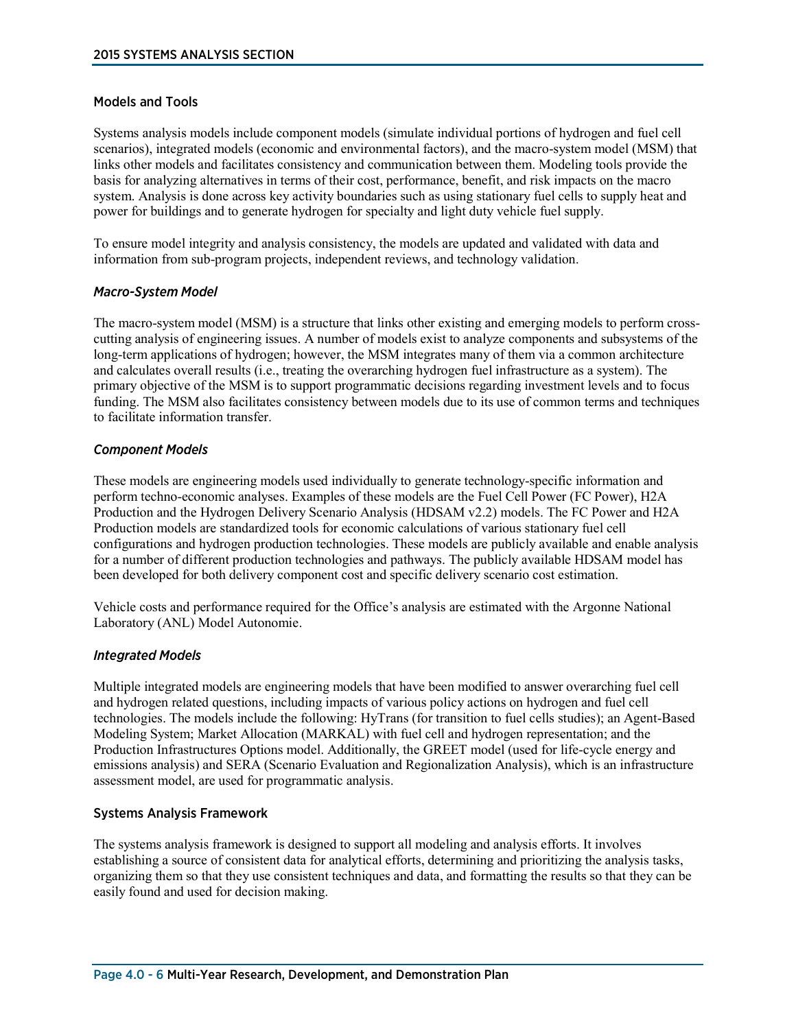#### Models and Tools

Systems analysis models include component models (simulate individual portions of hydrogen and fuel cell scenarios), integrated models (economic and environmental factors), and the macro-system model (MSM) that links other models and facilitates consistency and communication between them. Modeling tools provide the basis for analyzing alternatives in terms of their cost, performance, benefit, and risk impacts on the macro system. Analysis is done across key activity boundaries such as using stationary fuel cells to supply heat and power for buildings and to generate hydrogen for specialty and light duty vehicle fuel supply.

To ensure model integrity and analysis consistency, the models are updated and validated with data and information from sub-program projects, independent reviews, and technology validation.

#### *Macro-System Model*

The macro-system model (MSM) is a structure that links other existing and emerging models to perform crosscutting analysis of engineering issues. A number of models exist to analyze components and subsystems of the long-term applications of hydrogen; however, the MSM integrates many of them via a common architecture and calculates overall results (i.e., treating the overarching hydrogen fuel infrastructure as a system). The primary objective of the MSM is to support programmatic decisions regarding investment levels and to focus funding. The MSM also facilitates consistency between models due to its use of common terms and techniques to facilitate information transfer.

#### *Component Models*

These models are engineering models used individually to generate technology-specific information and perform techno-economic analyses. Examples of these models are the Fuel Cell Power (FC Power), H2A Production and the Hydrogen Delivery Scenario Analysis (HDSAM v2.2) models. The FC Power and H2A Production models are standardized tools for economic calculations of various stationary fuel cell configurations and hydrogen production technologies. These models are publicly available and enable analysis for a number of different production technologies and pathways. The publicly available HDSAM model has been developed for both delivery component cost and specific delivery scenario cost estimation.

Vehicle costs and performance required for the Office's analysis are estimated with the Argonne National Laboratory (ANL) Model Autonomie.

#### *Integrated Models*

Multiple integrated models are engineering models that have been modified to answer overarching fuel cell and hydrogen related questions, including impacts of various policy actions on hydrogen and fuel cell technologies. The models include the following: HyTrans (for transition to fuel cells studies); an Agent-Based Modeling System; Market Allocation (MARKAL) with fuel cell and hydrogen representation; and the Production Infrastructures Options model. Additionally, the GREET model (used for life-cycle energy and emissions analysis) and SERA (Scenario Evaluation and Regionalization Analysis), which is an infrastructure assessment model, are used for programmatic analysis.

#### Systems Analysis Framework

The systems analysis framework is designed to support all modeling and analysis efforts. It involves establishing a source of consistent data for analytical efforts, determining and prioritizing the analysis tasks, organizing them so that they use consistent techniques and data, and formatting the results so that they can be easily found and used for decision making.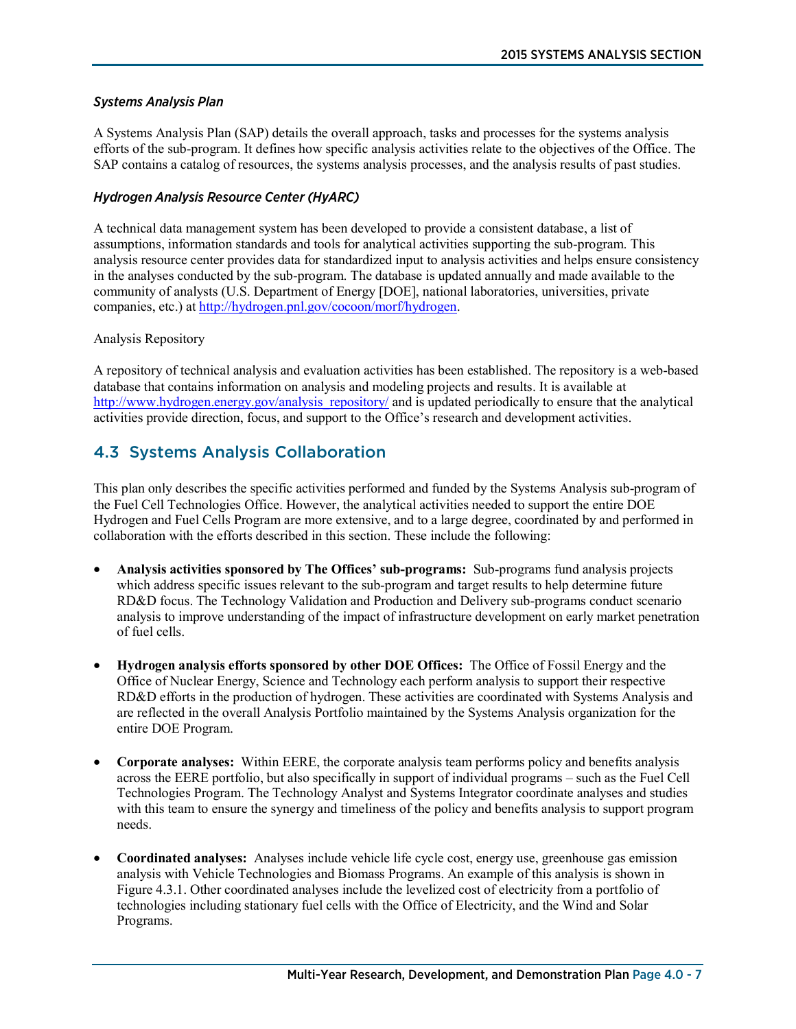#### *Systems Analysis Plan*

A Systems Analysis Plan (SAP) details the overall approach, tasks and processes for the systems analysis efforts of the sub-program. It defines how specific analysis activities relate to the objectives of the Office. The SAP contains a catalog of resources, the systems analysis processes, and the analysis results of past studies.

#### *Hydrogen Analysis Resource Center (HyARC)*

A technical data management system has been developed to provide a consistent database, a list of assumptions, information standards and tools for analytical activities supporting the sub-program. This analysis resource center provides data for standardized input to analysis activities and helps ensure consistency in the analyses conducted by the sub-program. The database is updated annually and made available to the community of analysts (U.S. Department of Energy [DOE], national laboratories, universities, private companies, etc.) at [http://hydrogen.pnl.gov/cocoon/morf/hydrogen.](http://hydrogen.pnl.gov/cocoon/morf/hydrogen)

#### Analysis Repository

A repository of technical analysis and evaluation activities has been established. The repository is a web-based database that contains information on analysis and modeling projects and results. It is available at [http://www.hydrogen.energy.gov/analysis\\_repository/](http://www.hydrogen.energy.gov/analysis_repository/) and is updated periodically to ensure that the analytical activities provide direction, focus, and support to the Office's research and development activities.

### 4.3 Systems Analysis Collaboration

This plan only describes the specific activities performed and funded by the Systems Analysis sub-program of the Fuel Cell Technologies Office. However, the analytical activities needed to support the entire DOE Hydrogen and Fuel Cells Program are more extensive, and to a large degree, coordinated by and performed in collaboration with the efforts described in this section. These include the following:

- **Analysis activities sponsored by The Offices' sub-programs:** Sub-programs fund analysis projects which address specific issues relevant to the sub-program and target results to help determine future RD&D focus. The Technology Validation and Production and Delivery sub-programs conduct scenario analysis to improve understanding of the impact of infrastructure development on early market penetration of fuel cells.
- **Hydrogen analysis efforts sponsored by other DOE Offices:** The Office of Fossil Energy and the Office of Nuclear Energy, Science and Technology each perform analysis to support their respective RD&D efforts in the production of hydrogen. These activities are coordinated with Systems Analysis and are reflected in the overall Analysis Portfolio maintained by the Systems Analysis organization for the entire DOE Program.
- **Corporate analyses:** Within EERE, the corporate analysis team performs policy and benefits analysis across the EERE portfolio, but also specifically in support of individual programs – such as the Fuel Cell Technologies Program. The Technology Analyst and Systems Integrator coordinate analyses and studies with this team to ensure the synergy and timeliness of the policy and benefits analysis to support program needs.
- **Coordinated analyses:** Analyses include vehicle life cycle cost, energy use, greenhouse gas emission analysis with Vehicle Technologies and Biomass Programs. An example of this analysis is shown in Figure 4.3.1. Other coordinated analyses include the levelized cost of electricity from a portfolio of technologies including stationary fuel cells with the Office of Electricity, and the Wind and Solar Programs.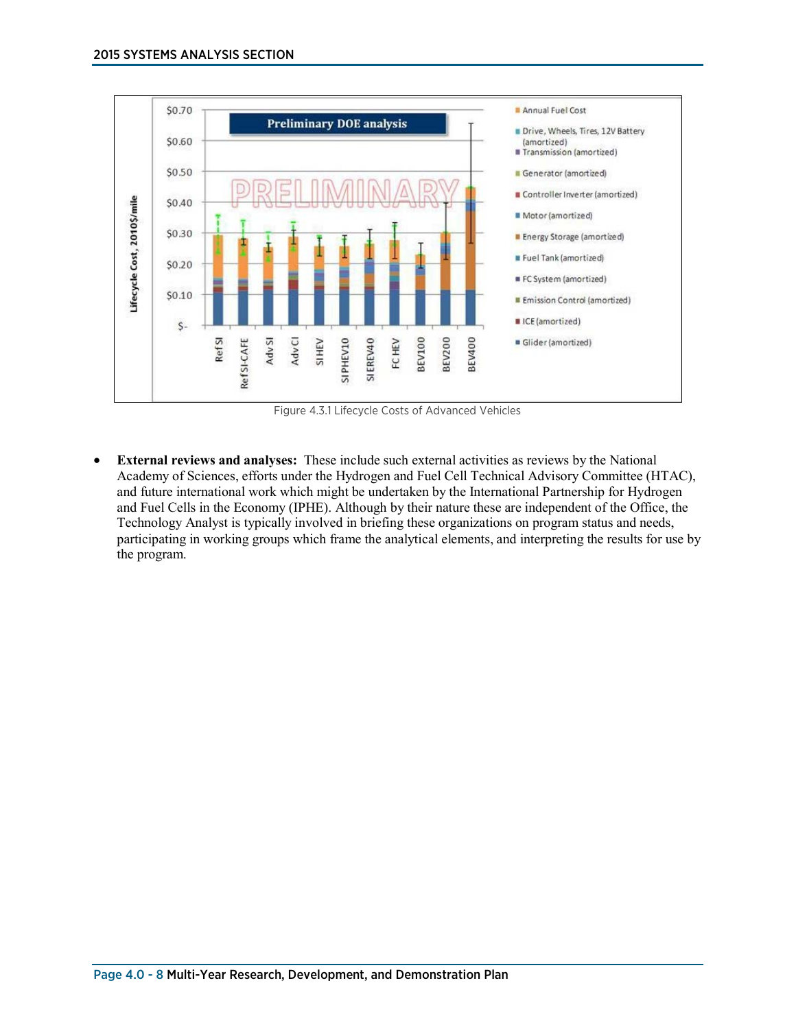

Figure 4.3.1 Lifecycle Costs of Advanced Vehicles

• **External reviews and analyses:** These include such external activities as reviews by the National Academy of Sciences, efforts under the Hydrogen and Fuel Cell Technical Advisory Committee (HTAC), and future international work which might be undertaken by the International Partnership for Hydrogen and Fuel Cells in the Economy (IPHE). Although by their nature these are independent of the Office, the Technology Analyst is typically involved in briefing these organizations on program status and needs, participating in working groups which frame the analytical elements, and interpreting the results for use by the program.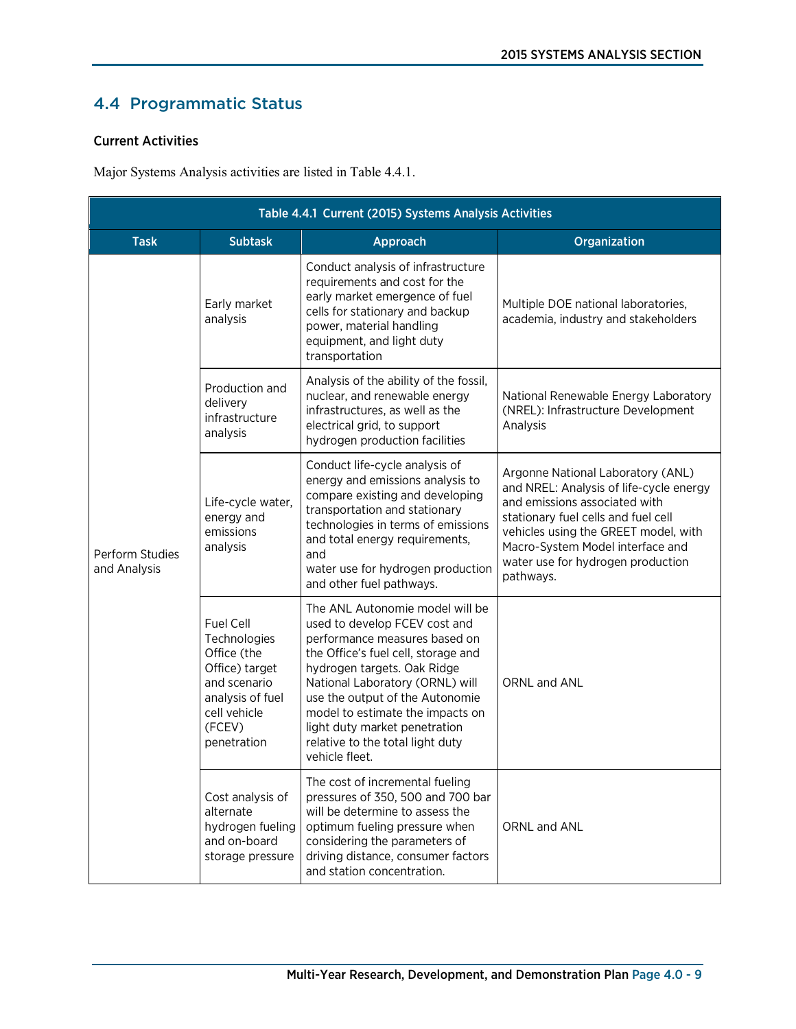# 4.4 Programmatic Status

#### Current Activities

Major Systems Analysis activities are listed in Table 4.4.1.

| Table 4.4.1 Current (2015) Systems Analysis Activities |                                                                                                                                         |                                                                                                                                                                                                                                                                                                                                                                          |                                                                                                                                                                                                                                                                                    |
|--------------------------------------------------------|-----------------------------------------------------------------------------------------------------------------------------------------|--------------------------------------------------------------------------------------------------------------------------------------------------------------------------------------------------------------------------------------------------------------------------------------------------------------------------------------------------------------------------|------------------------------------------------------------------------------------------------------------------------------------------------------------------------------------------------------------------------------------------------------------------------------------|
| <b>Task</b>                                            | <b>Subtask</b>                                                                                                                          | Approach                                                                                                                                                                                                                                                                                                                                                                 | Organization                                                                                                                                                                                                                                                                       |
|                                                        | Early market<br>analysis                                                                                                                | Conduct analysis of infrastructure<br>requirements and cost for the<br>early market emergence of fuel<br>cells for stationary and backup<br>power, material handling<br>equipment, and light duty<br>transportation                                                                                                                                                      | Multiple DOE national laboratories,<br>academia, industry and stakeholders                                                                                                                                                                                                         |
| Perform Studies<br>and Analysis                        | Production and<br>delivery<br>infrastructure<br>analysis                                                                                | Analysis of the ability of the fossil,<br>nuclear, and renewable energy<br>infrastructures, as well as the<br>electrical grid, to support<br>hydrogen production facilities                                                                                                                                                                                              | National Renewable Energy Laboratory<br>(NREL): Infrastructure Development<br>Analysis                                                                                                                                                                                             |
|                                                        | Life-cycle water,<br>energy and<br>emissions<br>analysis                                                                                | Conduct life-cycle analysis of<br>energy and emissions analysis to<br>compare existing and developing<br>transportation and stationary<br>technologies in terms of emissions<br>and total energy requirements,<br>and<br>water use for hydrogen production<br>and other fuel pathways.                                                                                   | Argonne National Laboratory (ANL)<br>and NREL: Analysis of life-cycle energy<br>and emissions associated with<br>stationary fuel cells and fuel cell<br>vehicles using the GREET model, with<br>Macro-System Model interface and<br>water use for hydrogen production<br>pathways. |
|                                                        | Fuel Cell<br>Technologies<br>Office (the<br>Office) target<br>and scenario<br>analysis of fuel<br>cell vehicle<br>(FCEV)<br>penetration | The ANL Autonomie model will be<br>used to develop FCEV cost and<br>performance measures based on<br>the Office's fuel cell, storage and<br>hydrogen targets. Oak Ridge<br>National Laboratory (ORNL) will<br>use the output of the Autonomie<br>model to estimate the impacts on<br>light duty market penetration<br>relative to the total light duty<br>vehicle fleet. | ORNL and ANL                                                                                                                                                                                                                                                                       |
|                                                        | Cost analysis of<br>alternate<br>hydrogen fueling<br>and on-board<br>storage pressure                                                   | The cost of incremental fueling<br>pressures of 350, 500 and 700 bar<br>will be determine to assess the<br>optimum fueling pressure when<br>considering the parameters of<br>driving distance, consumer factors<br>and station concentration.                                                                                                                            | ORNL and ANL                                                                                                                                                                                                                                                                       |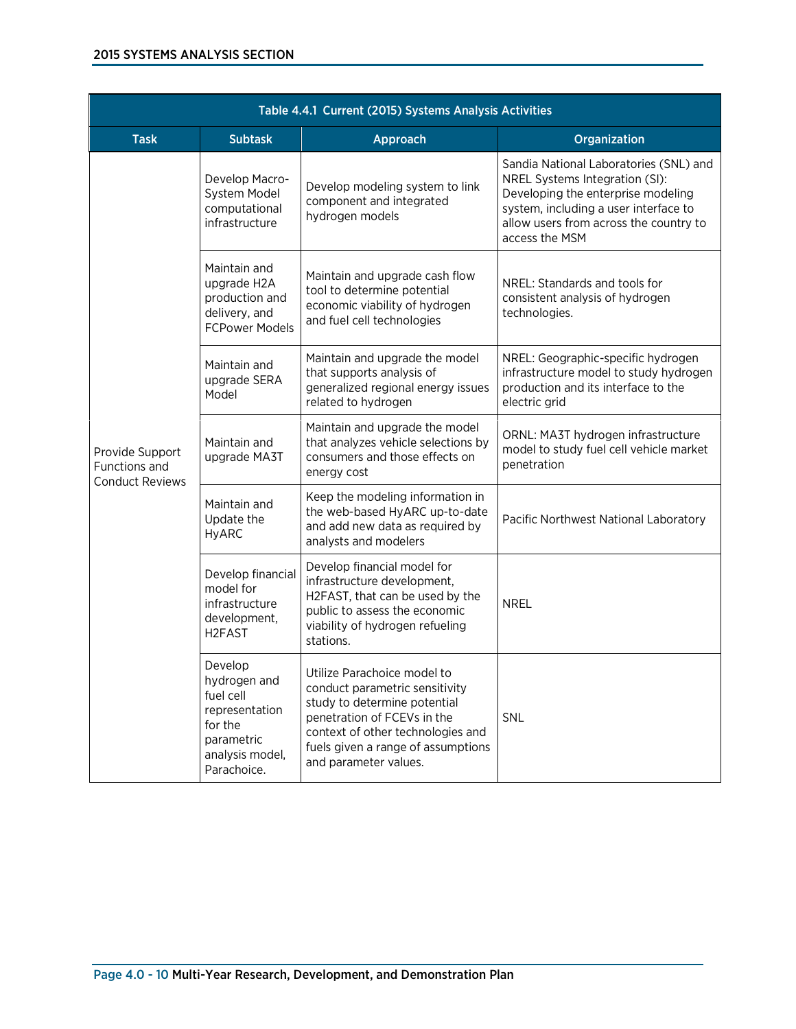| Table 4.4.1 Current (2015) Systems Analysis Activities     |                                                                                                                   |                                                                                                                                                                                                                                  |                                                                                                                                                                                                                     |
|------------------------------------------------------------|-------------------------------------------------------------------------------------------------------------------|----------------------------------------------------------------------------------------------------------------------------------------------------------------------------------------------------------------------------------|---------------------------------------------------------------------------------------------------------------------------------------------------------------------------------------------------------------------|
| <b>Task</b>                                                | <b>Subtask</b>                                                                                                    | Approach                                                                                                                                                                                                                         | Organization                                                                                                                                                                                                        |
|                                                            | Develop Macro-<br>System Model<br>computational<br>infrastructure                                                 | Develop modeling system to link<br>component and integrated<br>hydrogen models                                                                                                                                                   | Sandia National Laboratories (SNL) and<br>NREL Systems Integration (SI):<br>Developing the enterprise modeling<br>system, including a user interface to<br>allow users from across the country to<br>access the MSM |
| Provide Support<br>Functions and<br><b>Conduct Reviews</b> | Maintain and<br>upgrade H2A<br>production and<br>delivery, and<br><b>FCPower Models</b>                           | Maintain and upgrade cash flow<br>tool to determine potential<br>economic viability of hydrogen<br>and fuel cell technologies                                                                                                    | NREL: Standards and tools for<br>consistent analysis of hydrogen<br>technologies.                                                                                                                                   |
|                                                            | Maintain and<br>upgrade SERA<br>Model                                                                             | Maintain and upgrade the model<br>that supports analysis of<br>generalized regional energy issues<br>related to hydrogen                                                                                                         | NREL: Geographic-specific hydrogen<br>infrastructure model to study hydrogen<br>production and its interface to the<br>electric grid                                                                                |
|                                                            | Maintain and<br>upgrade MA3T                                                                                      | Maintain and upgrade the model<br>that analyzes vehicle selections by<br>consumers and those effects on<br>energy cost                                                                                                           | ORNL: MA3T hydrogen infrastructure<br>model to study fuel cell vehicle market<br>penetration                                                                                                                        |
|                                                            | Maintain and<br>Update the<br><b>HyARC</b>                                                                        | Keep the modeling information in<br>the web-based HyARC up-to-date<br>and add new data as required by<br>analysts and modelers                                                                                                   | Pacific Northwest National Laboratory                                                                                                                                                                               |
|                                                            | Develop financial<br>model for<br>infrastructure<br>development,<br>H <sub>2</sub> FA <sub>S</sub> T              | Develop financial model for<br>infrastructure development,<br>H2FAST, that can be used by the<br>public to assess the economic<br>viability of hydrogen refueling<br>stations.                                                   | <b>NREL</b>                                                                                                                                                                                                         |
|                                                            | Develop<br>hydrogen and<br>fuel cell<br>representation<br>for the<br>parametric<br>analysis model,<br>Parachoice. | Utilize Parachoice model to<br>conduct parametric sensitivity<br>study to determine potential<br>penetration of FCEVs in the<br>context of other technologies and<br>fuels given a range of assumptions<br>and parameter values. | SNL                                                                                                                                                                                                                 |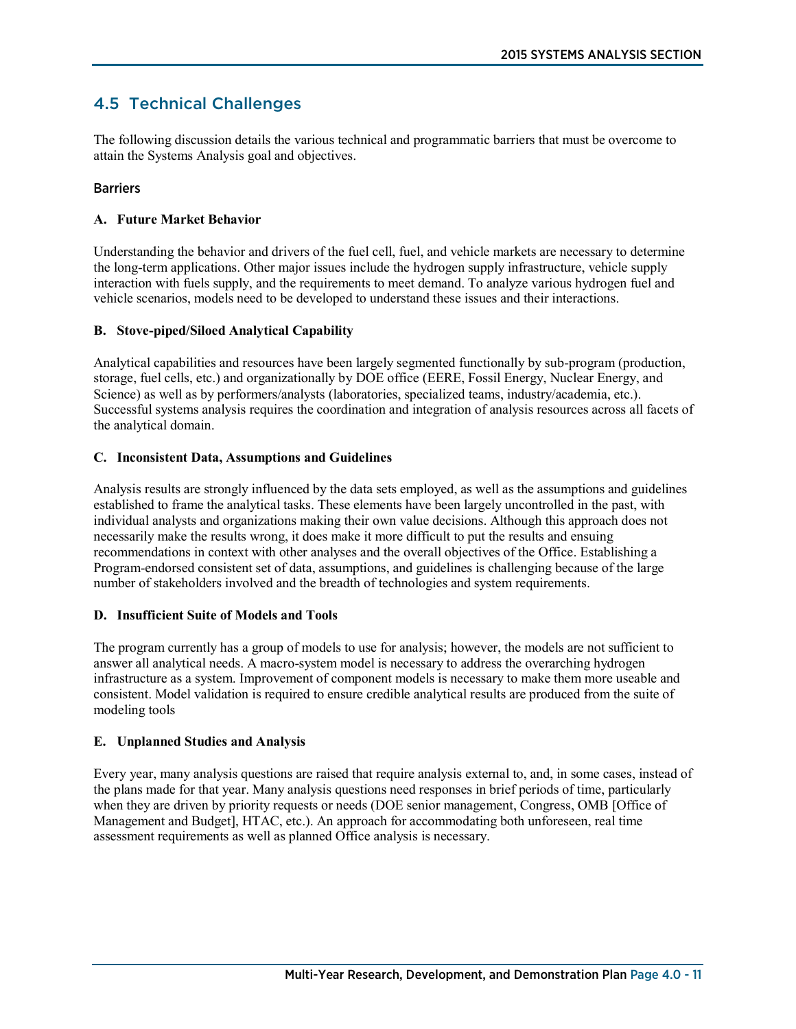### 4.5 Technical Challenges

The following discussion details the various technical and programmatic barriers that must be overcome to attain the Systems Analysis goal and objectives.

#### **Barriers**

#### **A. Future Market Behavior**

Understanding the behavior and drivers of the fuel cell, fuel, and vehicle markets are necessary to determine the long-term applications. Other major issues include the hydrogen supply infrastructure, vehicle supply interaction with fuels supply, and the requirements to meet demand. To analyze various hydrogen fuel and vehicle scenarios, models need to be developed to understand these issues and their interactions.

#### **B. Stove-piped/Siloed Analytical Capability**

Analytical capabilities and resources have been largely segmented functionally by sub-program (production, storage, fuel cells, etc.) and organizationally by DOE office (EERE, Fossil Energy, Nuclear Energy, and Science) as well as by performers/analysts (laboratories, specialized teams, industry/academia, etc.). Successful systems analysis requires the coordination and integration of analysis resources across all facets of the analytical domain.

#### **C. Inconsistent Data, Assumptions and Guidelines**

Analysis results are strongly influenced by the data sets employed, as well as the assumptions and guidelines established to frame the analytical tasks. These elements have been largely uncontrolled in the past, with individual analysts and organizations making their own value decisions. Although this approach does not necessarily make the results wrong, it does make it more difficult to put the results and ensuing recommendations in context with other analyses and the overall objectives of the Office. Establishing a Program-endorsed consistent set of data, assumptions, and guidelines is challenging because of the large number of stakeholders involved and the breadth of technologies and system requirements.

#### **D. Insufficient Suite of Models and Tools**

The program currently has a group of models to use for analysis; however, the models are not sufficient to answer all analytical needs. A macro-system model is necessary to address the overarching hydrogen infrastructure as a system. Improvement of component models is necessary to make them more useable and consistent. Model validation is required to ensure credible analytical results are produced from the suite of modeling tools

#### **E. Unplanned Studies and Analysis**

Every year, many analysis questions are raised that require analysis external to, and, in some cases, instead of the plans made for that year. Many analysis questions need responses in brief periods of time, particularly when they are driven by priority requests or needs (DOE senior management, Congress, OMB [Office of Management and Budget], HTAC, etc.). An approach for accommodating both unforeseen, real time assessment requirements as well as planned Office analysis is necessary.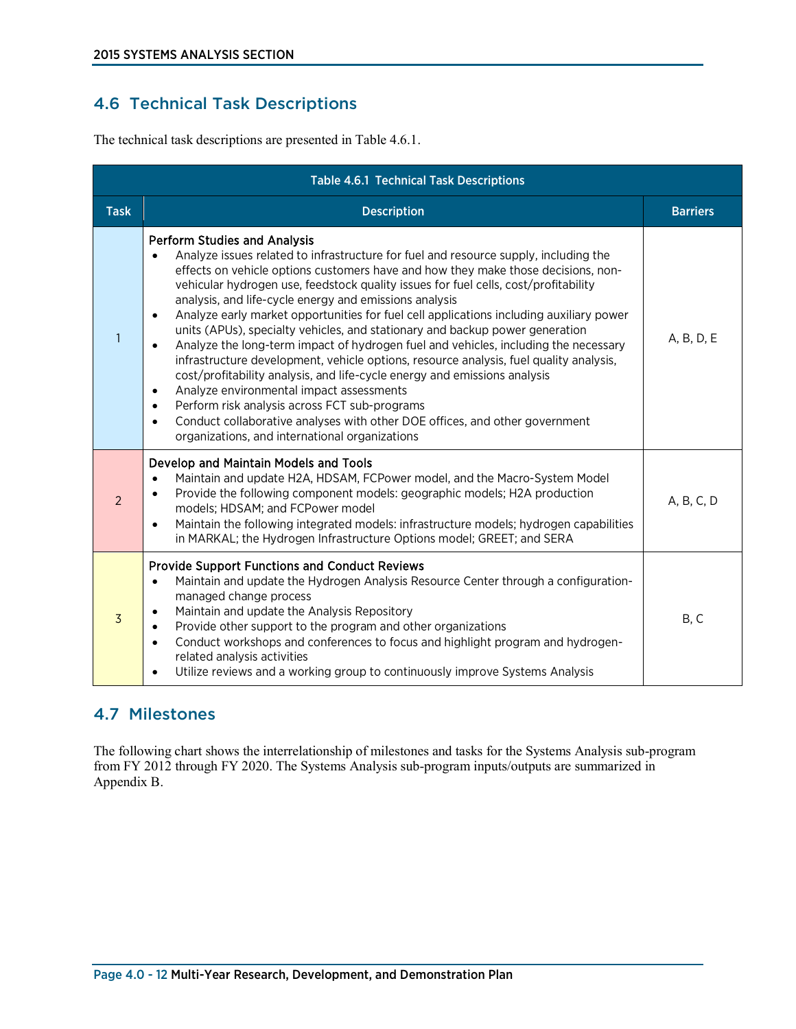## 4.6 Technical Task Descriptions

The technical task descriptions are presented in Table 4.6.1.

| <b>Table 4.6.1 Technical Task Descriptions</b> |                                                                                                                                                                                                                                                                                                                                                                                                                                                                                                                                                                                                                                                                                                                                                                                                                                                                                                                                                                                                                                                                                                           |                 |
|------------------------------------------------|-----------------------------------------------------------------------------------------------------------------------------------------------------------------------------------------------------------------------------------------------------------------------------------------------------------------------------------------------------------------------------------------------------------------------------------------------------------------------------------------------------------------------------------------------------------------------------------------------------------------------------------------------------------------------------------------------------------------------------------------------------------------------------------------------------------------------------------------------------------------------------------------------------------------------------------------------------------------------------------------------------------------------------------------------------------------------------------------------------------|-----------------|
| <b>Task</b>                                    | <b>Description</b>                                                                                                                                                                                                                                                                                                                                                                                                                                                                                                                                                                                                                                                                                                                                                                                                                                                                                                                                                                                                                                                                                        | <b>Barriers</b> |
| $\mathbf{1}$                                   | <b>Perform Studies and Analysis</b><br>Analyze issues related to infrastructure for fuel and resource supply, including the<br>effects on vehicle options customers have and how they make those decisions, non-<br>vehicular hydrogen use, feedstock quality issues for fuel cells, cost/profitability<br>analysis, and life-cycle energy and emissions analysis<br>Analyze early market opportunities for fuel cell applications including auxiliary power<br>$\bullet$<br>units (APUs), specialty vehicles, and stationary and backup power generation<br>Analyze the long-term impact of hydrogen fuel and vehicles, including the necessary<br>$\bullet$<br>infrastructure development, vehicle options, resource analysis, fuel quality analysis,<br>cost/profitability analysis, and life-cycle energy and emissions analysis<br>Analyze environmental impact assessments<br>$\bullet$<br>Perform risk analysis across FCT sub-programs<br>$\bullet$<br>Conduct collaborative analyses with other DOE offices, and other government<br>$\bullet$<br>organizations, and international organizations | A, B, D, E      |
| $\overline{2}$                                 | Develop and Maintain Models and Tools<br>Maintain and update H2A, HDSAM, FCPower model, and the Macro-System Model<br>Provide the following component models: geographic models; H2A production<br>models; HDSAM; and FCPower model<br>Maintain the following integrated models: infrastructure models; hydrogen capabilities<br>$\bullet$<br>in MARKAL; the Hydrogen Infrastructure Options model; GREET; and SERA                                                                                                                                                                                                                                                                                                                                                                                                                                                                                                                                                                                                                                                                                       | A, B, C, D      |
| $\overline{3}$                                 | <b>Provide Support Functions and Conduct Reviews</b><br>Maintain and update the Hydrogen Analysis Resource Center through a configuration-<br>$\bullet$<br>managed change process<br>Maintain and update the Analysis Repository<br>Provide other support to the program and other organizations<br>$\bullet$<br>Conduct workshops and conferences to focus and highlight program and hydrogen-<br>$\bullet$<br>related analysis activities<br>Utilize reviews and a working group to continuously improve Systems Analysis<br>٠                                                                                                                                                                                                                                                                                                                                                                                                                                                                                                                                                                          | B, C            |

### 4.7 Milestones

The following chart shows the interrelationship of milestones and tasks for the Systems Analysis sub-program from FY 2012 through FY 2020. The Systems Analysis sub-program inputs/outputs are summarized in Appendix B.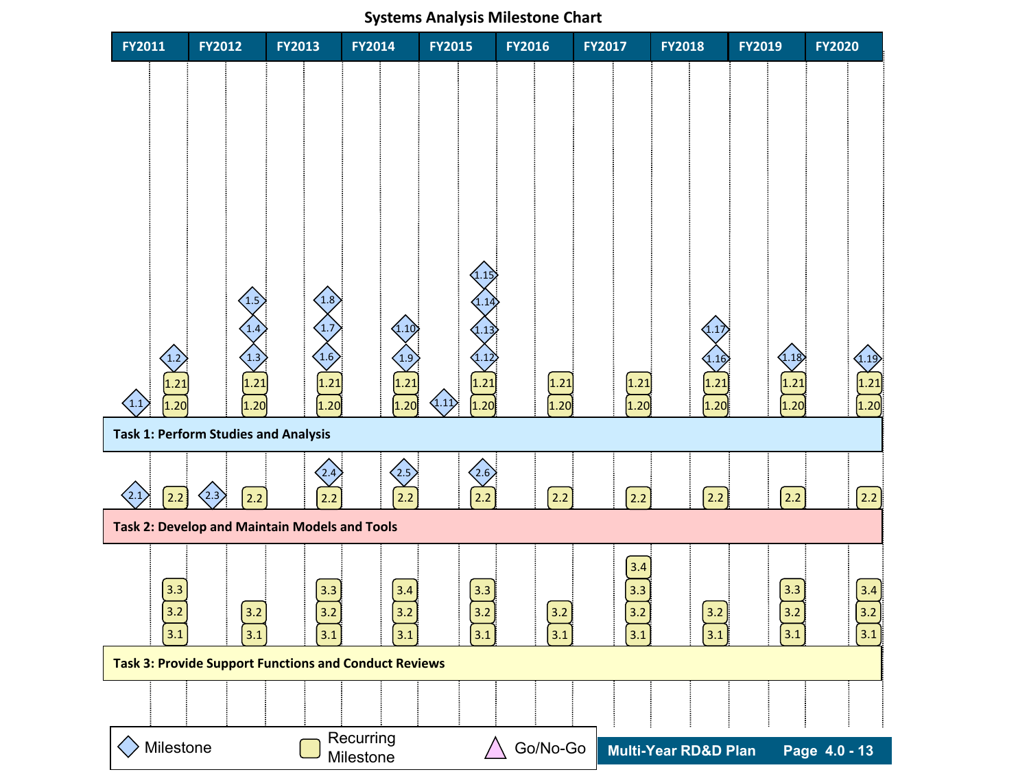### $2.2$ **FY2011 FY2012 FY2013 FY2014 FY2015 FY2016 FY2017 FY2018 FY2019 FY2020 Task 1: Perform Studies and Analysis Task 2: Develop and Maintain Models and Tools Task 3: Provide Support Functions and Conduct Reviews Multi-Year RD&D Plan Page 4.0 - 13**  $(1.10)$  $\left(1.1\right)$  $\left\langle 2.1 \right\rangle$ 1.2  $\bigg\{ 1.3$ 1.4 1.5 1.6 1.7 1.8 1.9 1.11  $(1.12)$ 1.13 1.14  $(1.15)$ 1.16 1.17  $1.18$ 2.2 2.2 2.2 2.2 2.2 2.2 2.2 2.2 2.2  $1.20 \hspace{15mm} 1.20 \hspace{15mm} 1.20 \hspace{15mm} 1.20 \hspace{15mm} 1.20 \hspace{15mm} 1.20 \hspace{15mm} 1.20 \hspace{15mm} 1.20 \hspace{15mm} 1.20 \hspace{15mm} 1.20 \hspace{15mm} 1.20 \hspace{15mm} 1.20 \hspace{15mm} 1.20 \hspace{15mm} 1.20 \hspace{15mm} 1.20 \hspace{15mm} 1.20 \hspace{15mm} 1.20 \hspace{15mm}$ 1.21 | 1.21 | 1.21 | 1.21 | 1.21 | 1.21 | 1.21 | 1.21 | 1.21 | 1.21 | 1.21 | 1.21  $\langle 2.3 \rangle$  $\langle 2.5 \rangle$   $\langle 2.6 \rangle$  $3.1$   $3.1$   $3.1$   $3.1$   $3.1$   $3.1$   $3.1$   $3.1$   $3.1$   $3.1$   $3.1$   $3.1$   $3.1$   $3.1$ 3.2 3.2 3.2 3.2 3.2 3.2 3.2 3.2 3.2 3.2 3.3 3.3 3.4 3.3 3.3 3.3 3.4  $3.4$  $(1.19)$  $\Diamond$  Milestone  $\Box$  Recurring  $\land$  Go/No-Go Milestone

#### **Systems Analysis Milestone Chart**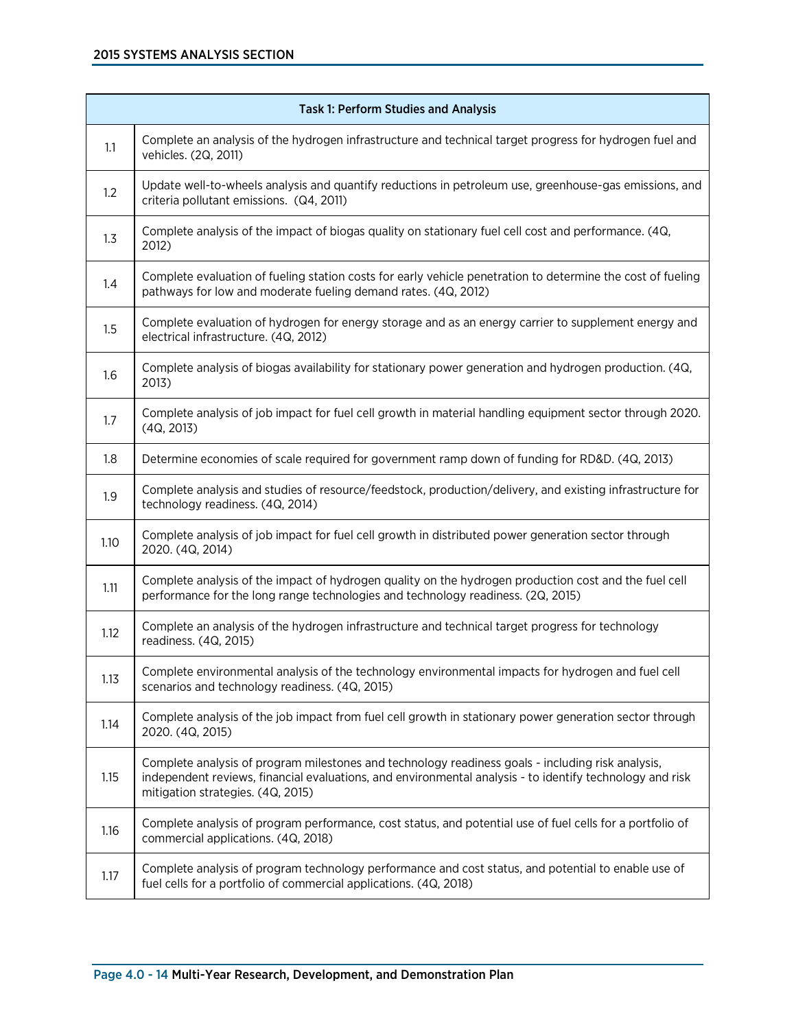| <b>Task 1: Perform Studies and Analysis</b> |                                                                                                                                                                                                                                                    |
|---------------------------------------------|----------------------------------------------------------------------------------------------------------------------------------------------------------------------------------------------------------------------------------------------------|
| 1.1                                         | Complete an analysis of the hydrogen infrastructure and technical target progress for hydrogen fuel and<br>vehicles. (2Q, 2011)                                                                                                                    |
| 1.2                                         | Update well-to-wheels analysis and quantify reductions in petroleum use, greenhouse-gas emissions, and<br>criteria pollutant emissions. (Q4, 2011)                                                                                                 |
| 1.3                                         | Complete analysis of the impact of biogas quality on stationary fuel cell cost and performance. (4Q,<br>2012)                                                                                                                                      |
| 1.4                                         | Complete evaluation of fueling station costs for early vehicle penetration to determine the cost of fueling<br>pathways for low and moderate fueling demand rates. (4Q, 2012)                                                                      |
| 1.5                                         | Complete evaluation of hydrogen for energy storage and as an energy carrier to supplement energy and<br>electrical infrastructure. (4Q, 2012)                                                                                                      |
| 1.6                                         | Complete analysis of biogas availability for stationary power generation and hydrogen production. (4Q,<br>2013)                                                                                                                                    |
| 1.7                                         | Complete analysis of job impact for fuel cell growth in material handling equipment sector through 2020.<br>(4Q, 2013)                                                                                                                             |
| 1.8                                         | Determine economies of scale required for government ramp down of funding for RD&D. (4Q, 2013)                                                                                                                                                     |
| 1.9                                         | Complete analysis and studies of resource/feedstock, production/delivery, and existing infrastructure for<br>technology readiness. (4Q, 2014)                                                                                                      |
| 1.10                                        | Complete analysis of job impact for fuel cell growth in distributed power generation sector through<br>2020. (4Q, 2014)                                                                                                                            |
| 1.11                                        | Complete analysis of the impact of hydrogen quality on the hydrogen production cost and the fuel cell<br>performance for the long range technologies and technology readiness. (2Q, 2015)                                                          |
| 1.12                                        | Complete an analysis of the hydrogen infrastructure and technical target progress for technology<br>readiness. (4Q, 2015)                                                                                                                          |
| 1.13                                        | Complete environmental analysis of the technology environmental impacts for hydrogen and fuel cell<br>scenarios and technology readiness. (4Q, 2015)                                                                                               |
| 1.14                                        | Complete analysis of the job impact from fuel cell growth in stationary power generation sector through<br>2020. (4Q, 2015)                                                                                                                        |
| 1.15                                        | Complete analysis of program milestones and technology readiness goals - including risk analysis,<br>independent reviews, financial evaluations, and environmental analysis - to identify technology and risk<br>mitigation strategies. (4Q, 2015) |
| 1.16                                        | Complete analysis of program performance, cost status, and potential use of fuel cells for a portfolio of<br>commercial applications. (4Q, 2018)                                                                                                   |
| 1.17                                        | Complete analysis of program technology performance and cost status, and potential to enable use of<br>fuel cells for a portfolio of commercial applications. (4Q, 2018)                                                                           |